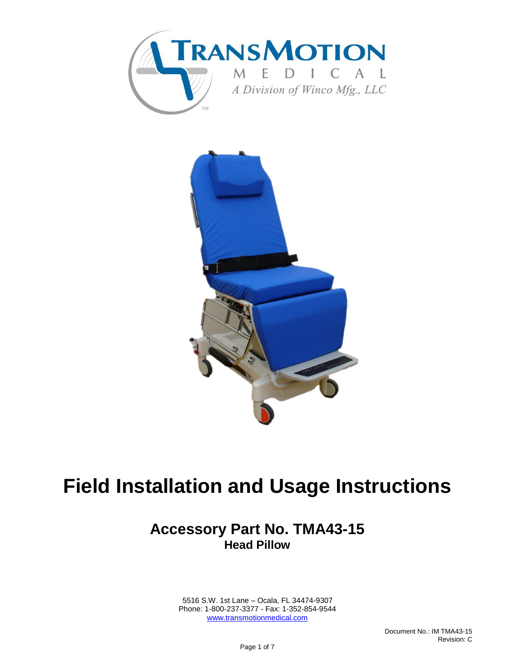



# **Field Installation and Usage Instructions**

### **Accessory Part No. TMA43-15 Head Pillow**

 5516 S.W. 1st Lane – Ocala, FL 34474-9307 Phone: 1-800-237-3377 - Fax: 1-352-854-9544 [www.transmotionmedical.com](http://www.transmotionmedical.com/)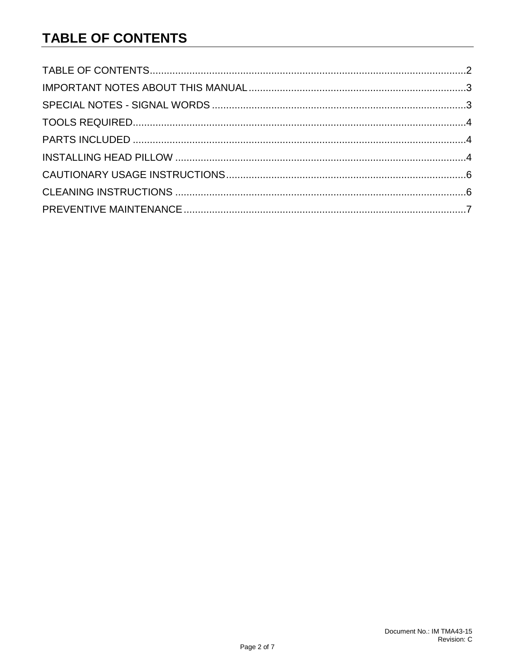# <span id="page-1-0"></span>**TABLE OF CONTENTS**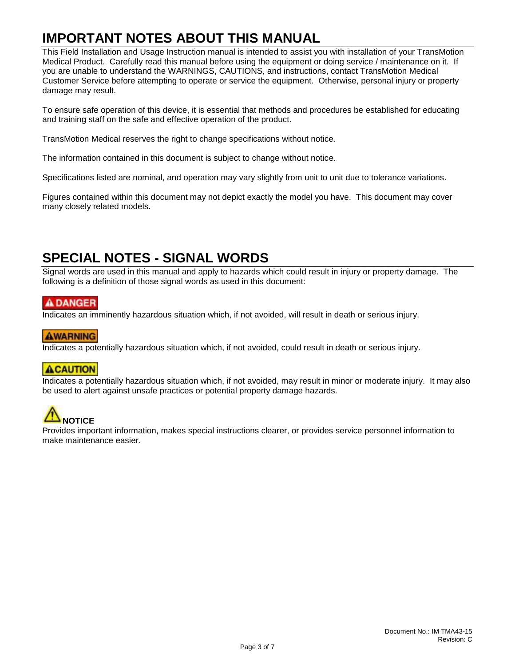# <span id="page-2-0"></span>**IMPORTANT NOTES ABOUT THIS MANUAL**

This Field Installation and Usage Instruction manual is intended to assist you with installation of your TransMotion Medical Product. Carefully read this manual before using the equipment or doing service / maintenance on it. If you are unable to understand the WARNINGS, CAUTIONS, and instructions, contact TransMotion Medical Customer Service before attempting to operate or service the equipment. Otherwise, personal injury or property damage may result.

To ensure safe operation of this device, it is essential that methods and procedures be established for educating and training staff on the safe and effective operation of the product.

TransMotion Medical reserves the right to change specifications without notice.

The information contained in this document is subject to change without notice.

Specifications listed are nominal, and operation may vary slightly from unit to unit due to tolerance variations.

Figures contained within this document may not depict exactly the model you have. This document may cover many closely related models.

# <span id="page-2-1"></span>**SPECIAL NOTES - SIGNAL WORDS**

Signal words are used in this manual and apply to hazards which could result in injury or property damage. The following is a definition of those signal words as used in this document:

#### **ADANGER**

Indicates an imminently hazardous situation which, if not avoided, will result in death or serious injury.

#### **AWARNING**

Indicates a potentially hazardous situation which, if not avoided, could result in death or serious injury.

#### **ACAUTION**

Indicates a potentially hazardous situation which, if not avoided, may result in minor or moderate injury. It may also be used to alert against unsafe practices or potential property damage hazards.



Provides important information, makes special instructions clearer, or provides service personnel information to make maintenance easier.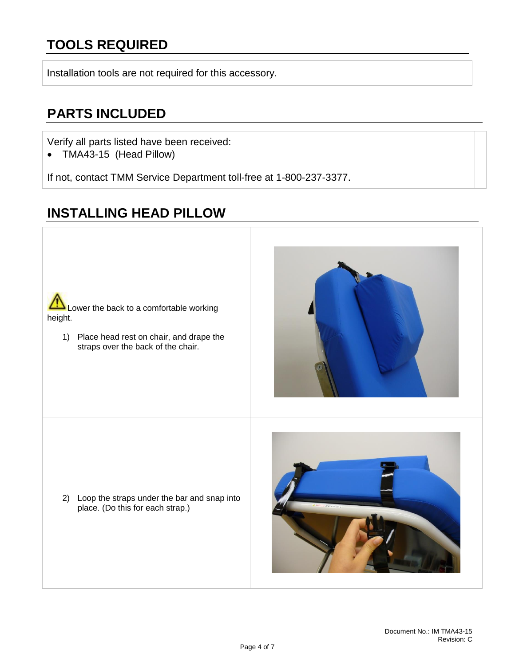# <span id="page-3-0"></span>**TOOLS REQUIRED**

Installation tools are not required for this accessory.

### <span id="page-3-1"></span>**PARTS INCLUDED**

Verify all parts listed have been received:

• TMA43-15 (Head Pillow)

If not, contact TMM Service Department toll-free at 1-800-237-3377.

# <span id="page-3-2"></span>**INSTALLING HEAD PILLOW**



1) Place head rest on chair, and drape the straps over the back of the chair.



2) Loop the straps under the bar and snap into place. (Do this for each strap.)

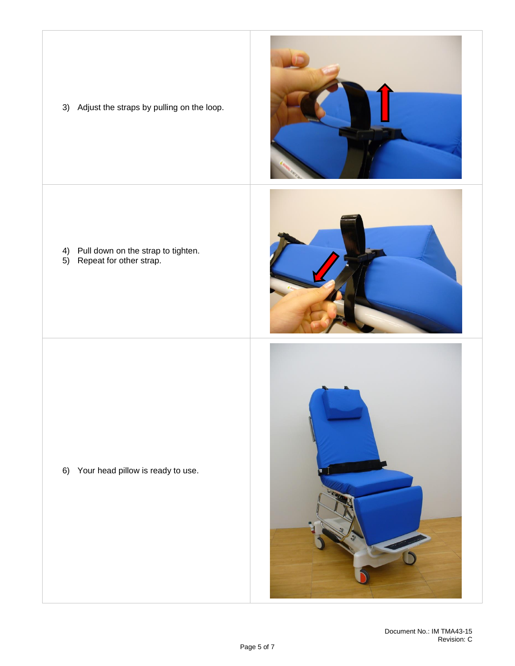

3) Adjust the straps by pulling on the loop.

- 4) Pull down on the strap to tighten.
- 5) Repeat for other strap.





6) Your head pillow is ready to use.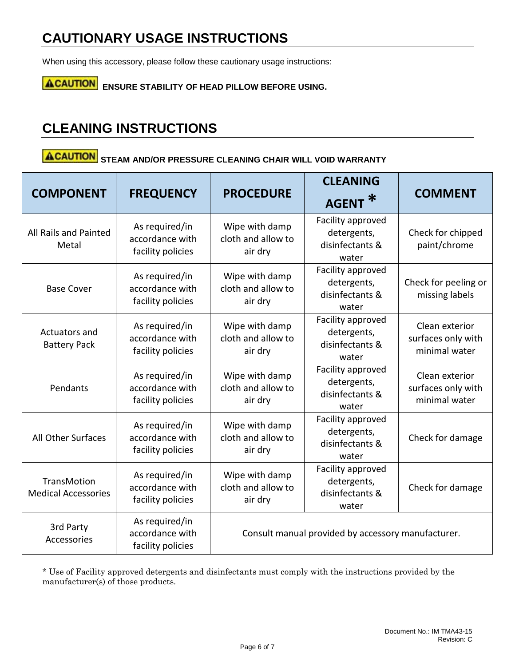# <span id="page-5-0"></span>**CAUTIONARY USAGE INSTRUCTIONS**

When using this accessory, please follow these cautionary usage instructions:

**ACAUTION** ENSURE STABILITY OF HEAD PILLOW BEFORE USING.

# <span id="page-5-1"></span>**CLEANING INSTRUCTIONS**

# **ACAUTION** STEAM AND/OR PRESSURE CLEANING CHAIR WILL VOID WARRANTY

| <b>COMPONENT</b>                                 | <b>FREQUENCY</b>                                       | <b>PROCEDURE</b>                                   | <b>CLEANING</b><br><b>AGENT</b>                              | <b>COMMENT</b>                                        |
|--------------------------------------------------|--------------------------------------------------------|----------------------------------------------------|--------------------------------------------------------------|-------------------------------------------------------|
| All Rails and Painted<br>Metal                   | As required/in<br>accordance with<br>facility policies | Wipe with damp<br>cloth and allow to<br>air dry    | Facility approved<br>detergents,<br>disinfectants &<br>water | Check for chipped<br>paint/chrome                     |
| <b>Base Cover</b>                                | As required/in<br>accordance with<br>facility policies | Wipe with damp<br>cloth and allow to<br>air dry    | Facility approved<br>detergents,<br>disinfectants &<br>water | Check for peeling or<br>missing labels                |
| Actuators and<br><b>Battery Pack</b>             | As required/in<br>accordance with<br>facility policies | Wipe with damp<br>cloth and allow to<br>air dry    | Facility approved<br>detergents,<br>disinfectants &<br>water | Clean exterior<br>surfaces only with<br>minimal water |
| Pendants                                         | As required/in<br>accordance with<br>facility policies | Wipe with damp<br>cloth and allow to<br>air dry    | Facility approved<br>detergents,<br>disinfectants &<br>water | Clean exterior<br>surfaces only with<br>minimal water |
| All Other Surfaces                               | As required/in<br>accordance with<br>facility policies | Wipe with damp<br>cloth and allow to<br>air dry    | Facility approved<br>detergents,<br>disinfectants &<br>water | Check for damage                                      |
| <b>TransMotion</b><br><b>Medical Accessories</b> | As required/in<br>accordance with<br>facility policies | Wipe with damp<br>cloth and allow to<br>air dry    | Facility approved<br>detergents,<br>disinfectants &<br>water | Check for damage                                      |
| 3rd Party<br>Accessories                         | As required/in<br>accordance with<br>facility policies | Consult manual provided by accessory manufacturer. |                                                              |                                                       |

\* Use of Facility approved detergents and disinfectants must comply with the instructions provided by the manufacturer(s) of those products.